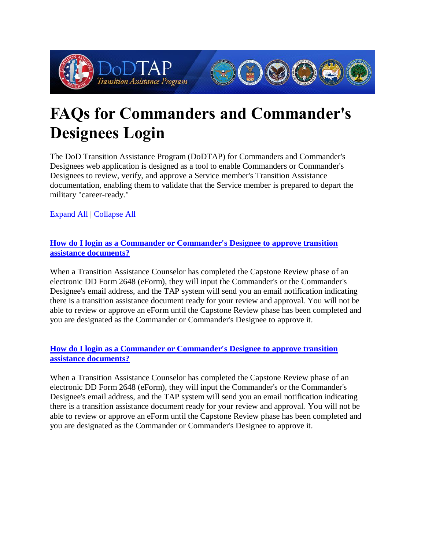

# **FAQs for Commanders and Commander's Designees Login**

The DoD Transition Assistance Program (DoDTAP) for Commanders and Commander's Designees web application is designed as a tool to enable Commanders or Commander's Designees to review, verify, and approve a Service member's Transition Assistance documentation, enabling them to validate that the Service member is prepared to depart the military "career-ready."

[Expand All](https://www.dodtap.mil/commander.html#accordion) | [Collapse All](https://www.dodtap.mil/commander.html#accordion)

# **[How do I login as a Commander or Commander's Designee to approve transition](https://www.dodtap.mil/commander.html#collapseOne)  [assistance documents?](https://www.dodtap.mil/commander.html#collapseOne)**

When a Transition Assistance Counselor has completed the Capstone Review phase of an electronic DD Form 2648 (eForm), they will input the Commander's or the Commander's Designee's email address, and the TAP system will send you an email notification indicating there is a transition assistance document ready for your review and approval. You will not be able to review or approve an eForm until the Capstone Review phase has been completed and you are designated as the Commander or Commander's Designee to approve it.

# **[How do I login as a Commander or Commander's Designee to approve transition](https://www.dodtap.mil/commander.html#collapseOne-xs)  [assistance documents?](https://www.dodtap.mil/commander.html#collapseOne-xs)**

When a Transition Assistance Counselor has completed the Capstone Review phase of an electronic DD Form 2648 (eForm), they will input the Commander's or the Commander's Designee's email address, and the TAP system will send you an email notification indicating there is a transition assistance document ready for your review and approval. You will not be able to review or approve an eForm until the Capstone Review phase has been completed and you are designated as the Commander or Commander's Designee to approve it.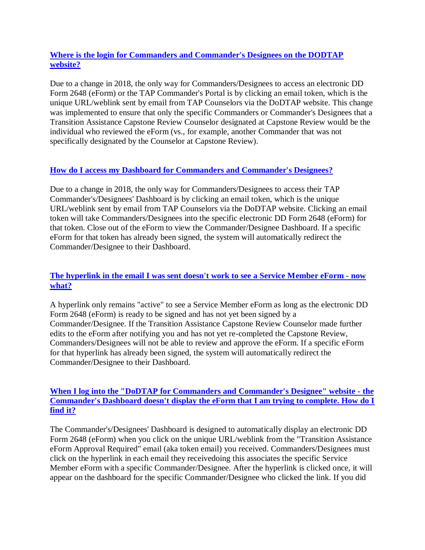## **[Where is the login for Commanders and Commander's Designees on the DODTAP](https://www.dodtap.mil/commander.html#collapseTwo)  [website?](https://www.dodtap.mil/commander.html#collapseTwo)**

Due to a change in 2018, the only way for Commanders/Designees to access an electronic DD Form 2648 (eForm) or the TAP Commander's Portal is by clicking an email token, which is the unique URL/weblink sent by email from TAP Counselors via the DoDTAP website. This change was implemented to ensure that only the specific Commanders or Commander's Designees that a Transition Assistance Capstone Review Counselor designated at Capstone Review would be the individual who reviewed the eForm (vs., for example, another Commander that was not specifically designated by the Counselor at Capstone Review).

# **[How do I access my Dashboard for Commanders and Commander's Designees?](https://www.dodtap.mil/commander.html#collapseThree)**

Due to a change in 2018, the only way for Commanders/Designees to access their TAP Commander's/Designees' Dashboard is by clicking an email token, which is the unique URL/weblink sent by email from TAP Counselors via the DoDTAP website. Clicking an email token will take Commanders/Designees into the specific electronic DD Form 2648 (eForm) for that token. Close out of the eForm to view the Commander/Designee Dashboard. If a specific eForm for that token has already been signed, the system will automatically redirect the Commander/Designee to their Dashboard.

# **[The hyperlink in the email I was sent doesn't work to see a Service Member eForm -](https://www.dodtap.mil/commander.html#collapseFour) now [what?](https://www.dodtap.mil/commander.html#collapseFour)**

A hyperlink only remains "active" to see a Service Member eForm as long as the electronic DD Form 2648 (eForm) is ready to be signed and has not yet been signed by a Commander/Designee. If the Transition Assistance Capstone Review Counselor made further edits to the eForm after notifying you and has not yet re-completed the Capstone Review, Commanders/Designees will not be able to review and approve the eForm. If a specific eForm for that hyperlink has already been signed, the system will automatically redirect the Commander/Designee to their Dashboard.

#### **When I log into the "DoDTAP [for Commanders and Commander's Designee" website -](https://www.dodtap.mil/commander.html#collapseFive) the [Commander's Dashboard doesn't display the eForm that I am trying to complete. How do I](https://www.dodtap.mil/commander.html#collapseFive)  [find it?](https://www.dodtap.mil/commander.html#collapseFive)**

The Commander's/Designees' Dashboard is designed to automatically display an electronic DD Form 2648 (eForm) when you click on the unique URL/weblink from the "Transition Assistance eForm Approval Required" email (aka token email) you received. Commanders/Designees must click on the hyperlink in each email they receivedoing this associates the specific Service Member eForm with a specific Commander/Designee. After the hyperlink is clicked once, it will appear on the dashboard for the specific Commander/Designee who clicked the link. If you did